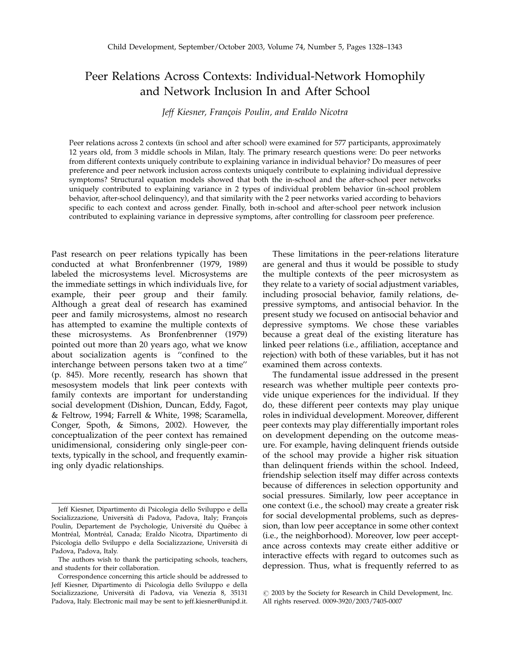# Peer Relations Across Contexts: Individual-Network Homophily and Network Inclusion In and After School

Jeff Kiesner, François Poulin, and Eraldo Nicotra

Peer relations across 2 contexts (in school and after school) were examined for 577 participants, approximately 12 years old, from 3 middle schools in Milan, Italy. The primary research questions were: Do peer networks from different contexts uniquely contribute to explaining variance in individual behavior? Do measures of peer preference and peer network inclusion across contexts uniquely contribute to explaining individual depressive symptoms? Structural equation models showed that both the in-school and the after-school peer networks uniquely contributed to explaining variance in 2 types of individual problem behavior (in-school problem behavior, after-school delinquency), and that similarity with the 2 peer networks varied according to behaviors specific to each context and across gender. Finally, both in-school and after-school peer network inclusion contributed to explaining variance in depressive symptoms, after controlling for classroom peer preference.

Past research on peer relations typically has been conducted at what Bronfenbrenner (1979, 1989) labeled the microsystems level. Microsystems are the immediate settings in which individuals live, for example, their peer group and their family. Although a great deal of research has examined peer and family microsystems, almost no research has attempted to examine the multiple contexts of these microsystems. As Bronfenbrenner (1979) pointed out more than 20 years ago, what we know about socialization agents is ''confined to the interchange between persons taken two at a time'' (p. 845). More recently, research has shown that mesosystem models that link peer contexts with family contexts are important for understanding social development (Dishion, Duncan, Eddy, Fagot, & Feltrow, 1994; Farrell & White, 1998; Scaramella, Conger, Spoth, & Simons, 2002). However, the conceptualization of the peer context has remained unidimensional, considering only single-peer contexts, typically in the school, and frequently examining only dyadic relationships.

These limitations in the peer-relations literature are general and thus it would be possible to study the multiple contexts of the peer microsystem as they relate to a variety of social adjustment variables, including prosocial behavior, family relations, depressive symptoms, and antisocial behavior. In the present study we focused on antisocial behavior and depressive symptoms. We chose these variables because a great deal of the existing literature has linked peer relations (i.e., affiliation, acceptance and rejection) with both of these variables, but it has not examined them across contexts.

The fundamental issue addressed in the present research was whether multiple peer contexts provide unique experiences for the individual. If they do, these different peer contexts may play unique roles in individual development. Moreover, different peer contexts may play differentially important roles on development depending on the outcome measure. For example, having delinquent friends outside of the school may provide a higher risk situation than delinquent friends within the school. Indeed, friendship selection itself may differ across contexts because of differences in selection opportunity and social pressures. Similarly, low peer acceptance in one context (i.e., the school) may create a greater risk for social developmental problems, such as depression, than low peer acceptance in some other context (i.e., the neighborhood). Moreover, low peer acceptance across contexts may create either additive or interactive effects with regard to outcomes such as depression. Thus, what is frequently referred to as

Jeff Kiesner, Dipartimento di Psicologia dello Sviluppo e della Socializzazione, Università di Padova, Padova, Italy; François Poulin, Departement de Psychologie, Université du Québec à Montréal, Montréal, Canada; Eraldo Nicotra, Dipartimento di Psicologia dello Sviluppo e della Socializzazione, Universita` di Padova, Padova, Italy.

The authors wish to thank the participating schools, teachers, and students for their collaboration.

Correspondence concerning this article should be addressed to Jeff Kiesner, Dipartimento di Psicologia dello Sviluppo e della Socializzazione, Università di Padova, via Venezia 8, 35131 Padova, Italy. Electronic mail may be sent to jeff.kiesner@unipd.it.

 $C$  2003 by the Society for Research in Child Development, Inc. All rights reserved. 0009-3920/2003/7405-0007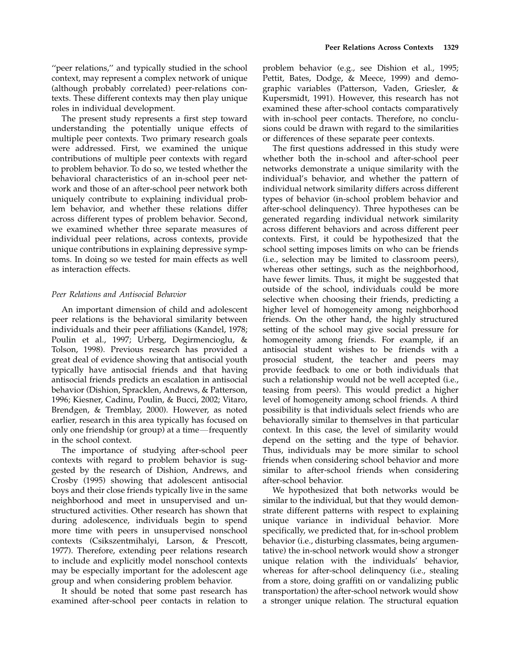''peer relations,'' and typically studied in the school context, may represent a complex network of unique (although probably correlated) peer-relations contexts. These different contexts may then play unique roles in individual development.

The present study represents a first step toward understanding the potentially unique effects of multiple peer contexts. Two primary research goals were addressed. First, we examined the unique contributions of multiple peer contexts with regard to problem behavior. To do so, we tested whether the behavioral characteristics of an in-school peer network and those of an after-school peer network both uniquely contribute to explaining individual problem behavior, and whether these relations differ across different types of problem behavior. Second, we examined whether three separate measures of individual peer relations, across contexts, provide unique contributions in explaining depressive symptoms. In doing so we tested for main effects as well as interaction effects.

## Peer Relations and Antisocial Behavior

An important dimension of child and adolescent peer relations is the behavioral similarity between individuals and their peer affiliations (Kandel, 1978; Poulin et al., 1997; Urberg, Degirmencioglu, & Tolson, 1998). Previous research has provided a great deal of evidence showing that antisocial youth typically have antisocial friends and that having antisocial friends predicts an escalation in antisocial behavior (Dishion, Spracklen, Andrews, & Patterson, 1996; Kiesner, Cadinu, Poulin, & Bucci, 2002; Vitaro, Brendgen, & Tremblay, 2000). However, as noted earlier, research in this area typically has focused on only one friendship (or group) at a time—frequently in the school context.

The importance of studying after-school peer contexts with regard to problem behavior is suggested by the research of Dishion, Andrews, and Crosby (1995) showing that adolescent antisocial boys and their close friends typically live in the same neighborhood and meet in unsupervised and unstructured activities. Other research has shown that during adolescence, individuals begin to spend more time with peers in unsupervised nonschool contexts (Csikszentmihalyi, Larson, & Prescott, 1977). Therefore, extending peer relations research to include and explicitly model nonschool contexts may be especially important for the adolescent age group and when considering problem behavior.

It should be noted that some past research has examined after-school peer contacts in relation to problem behavior (e.g., see Dishion et al., 1995; Pettit, Bates, Dodge, & Meece, 1999) and demographic variables (Patterson, Vaden, Griesler, & Kupersmidt, 1991). However, this research has not examined these after-school contacts comparatively with in-school peer contacts. Therefore, no conclusions could be drawn with regard to the similarities or differences of these separate peer contexts.

The first questions addressed in this study were whether both the in-school and after-school peer networks demonstrate a unique similarity with the individual's behavior, and whether the pattern of individual network similarity differs across different types of behavior (in-school problem behavior and after-school delinquency). Three hypotheses can be generated regarding individual network similarity across different behaviors and across different peer contexts. First, it could be hypothesized that the school setting imposes limits on who can be friends (i.e., selection may be limited to classroom peers), whereas other settings, such as the neighborhood, have fewer limits. Thus, it might be suggested that outside of the school, individuals could be more selective when choosing their friends, predicting a higher level of homogeneity among neighborhood friends. On the other hand, the highly structured setting of the school may give social pressure for homogeneity among friends. For example, if an antisocial student wishes to be friends with a prosocial student, the teacher and peers may provide feedback to one or both individuals that such a relationship would not be well accepted (i.e., teasing from peers). This would predict a higher level of homogeneity among school friends. A third possibility is that individuals select friends who are behaviorally similar to themselves in that particular context. In this case, the level of similarity would depend on the setting and the type of behavior. Thus, individuals may be more similar to school friends when considering school behavior and more similar to after-school friends when considering after-school behavior.

We hypothesized that both networks would be similar to the individual, but that they would demonstrate different patterns with respect to explaining unique variance in individual behavior. More specifically, we predicted that, for in-school problem behavior (i.e., disturbing classmates, being argumentative) the in-school network would show a stronger unique relation with the individuals' behavior, whereas for after-school delinquency (i.e., stealing from a store, doing graffiti on or vandalizing public transportation) the after-school network would show a stronger unique relation. The structural equation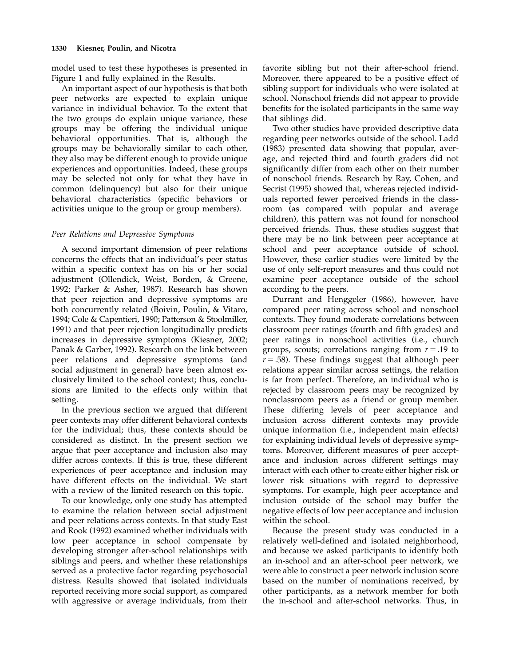model used to test these hypotheses is presented in Figure 1 and fully explained in the Results.

An important aspect of our hypothesis is that both peer networks are expected to explain unique variance in individual behavior. To the extent that the two groups do explain unique variance, these groups may be offering the individual unique behavioral opportunities. That is, although the groups may be behaviorally similar to each other, they also may be different enough to provide unique experiences and opportunities. Indeed, these groups may be selected not only for what they have in common (delinquency) but also for their unique behavioral characteristics (specific behaviors or activities unique to the group or group members).

## Peer Relations and Depressive Symptoms

A second important dimension of peer relations concerns the effects that an individual's peer status within a specific context has on his or her social adjustment (Ollendick, Weist, Borden, & Greene, 1992; Parker & Asher, 1987). Research has shown that peer rejection and depressive symptoms are both concurrently related (Boivin, Poulin, & Vitaro, 1994; Cole & Capentieri, 1990; Patterson & Stoolmiller, 1991) and that peer rejection longitudinally predicts increases in depressive symptoms (Kiesner, 2002; Panak & Garber, 1992). Research on the link between peer relations and depressive symptoms (and social adjustment in general) have been almost exclusively limited to the school context; thus, conclusions are limited to the effects only within that setting.

In the previous section we argued that different peer contexts may offer different behavioral contexts for the individual; thus, these contexts should be considered as distinct. In the present section we argue that peer acceptance and inclusion also may differ across contexts. If this is true, these different experiences of peer acceptance and inclusion may have different effects on the individual. We start with a review of the limited research on this topic.

To our knowledge, only one study has attempted to examine the relation between social adjustment and peer relations across contexts. In that study East and Rook (1992) examined whether individuals with low peer acceptance in school compensate by developing stronger after-school relationships with siblings and peers, and whether these relationships served as a protective factor regarding psychosocial distress. Results showed that isolated individuals reported receiving more social support, as compared with aggressive or average individuals, from their

favorite sibling but not their after-school friend. Moreover, there appeared to be a positive effect of sibling support for individuals who were isolated at school. Nonschool friends did not appear to provide benefits for the isolated participants in the same way that siblings did.

Two other studies have provided descriptive data regarding peer networks outside of the school. Ladd (1983) presented data showing that popular, average, and rejected third and fourth graders did not significantly differ from each other on their number of nonschool friends. Research by Ray, Cohen, and Secrist (1995) showed that, whereas rejected individuals reported fewer perceived friends in the classroom (as compared with popular and average children), this pattern was not found for nonschool perceived friends. Thus, these studies suggest that there may be no link between peer acceptance at school and peer acceptance outside of school. However, these earlier studies were limited by the use of only self-report measures and thus could not examine peer acceptance outside of the school according to the peers.

Durrant and Henggeler (1986), however, have compared peer rating across school and nonschool contexts. They found moderate correlations between classroom peer ratings (fourth and fifth grades) and peer ratings in nonschool activities (i.e., church groups, scouts; correlations ranging from  $r = .19$  to  $r = .58$ ). These findings suggest that although peer relations appear similar across settings, the relation is far from perfect. Therefore, an individual who is rejected by classroom peers may be recognized by nonclassroom peers as a friend or group member. These differing levels of peer acceptance and inclusion across different contexts may provide unique information (i.e., independent main effects) for explaining individual levels of depressive symptoms. Moreover, different measures of peer acceptance and inclusion across different settings may interact with each other to create either higher risk or lower risk situations with regard to depressive symptoms. For example, high peer acceptance and inclusion outside of the school may buffer the negative effects of low peer acceptance and inclusion within the school.

Because the present study was conducted in a relatively well-defined and isolated neighborhood, and because we asked participants to identify both an in-school and an after-school peer network, we were able to construct a peer network inclusion score based on the number of nominations received, by other participants, as a network member for both the in-school and after-school networks. Thus, in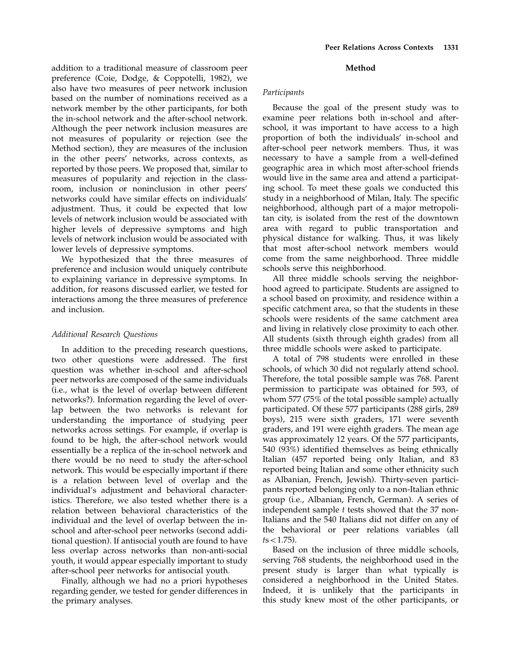addition to a traditional measure of classroom peer preference (Coie, Dodge, & Coppotelli, 1982), we also have two measures of peer network inclusion based on the number of nominations received as a network member by the other participants, for both the in-school network and the after-school network. Although the peer network inclusion measures are not measures of popularity or rejection (see the Method section), they are measures of the inclusion in the other peers' networks, across contexts, as reported by those peers. We proposed that, similar to measures of popularity and rejection in the classroom, inclusion or noninclusion in other peers' networks could have similar effects on individuals' adjustment. Thus, it could be expected that low levels of network inclusion would be associated with higher levels of depressive symptoms and high levels of network inclusion would be associated with lower levels of depressive symptoms.

We hypothesized that the three measures of preference and inclusion would uniquely contribute to explaining variance in depressive symptoms. In addition, for reasons discussed earlier, we tested for interactions among the three measures of preference and inclusion.

## Additional Research Questions

In addition to the preceding research questions, two other questions were addressed. The first question was whether in-school and after-school peer networks are composed of the same individuals (i.e., what is the level of overlap between different networks?). Information regarding the level of overlap between the two networks is relevant for understanding the importance of studying peer networks across settings. For example, if overlap is found to be high, the after-school network would essentially be a replica of the in-school network and there would be no need to study the after-school network. This would be especially important if there is a relation between level of overlap and the individual's adjustment and behavioral characteristics. Therefore, we also tested whether there is a relation between behavioral characteristics of the individual and the level of overlap between the inschool and after-school peer networks (second additional question). If antisocial youth are found to have less overlap across networks than non-anti-social youth, it would appear especially important to study after-school peer networks for antisocial youth.

Finally, although we had no a priori hypotheses regarding gender, we tested for gender differences in the primary analyses.

## Method

## Participants

Because the goal of the present study was to examine peer relations both in-school and afterschool, it was important to have access to a high proportion of both the individuals' in-school and after-school peer network members. Thus, it was necessary to have a sample from a well-defined geographic area in which most after-school friends would live in the same area and attend a participating school. To meet these goals we conducted this study in a neighborhood of Milan, Italy. The specific neighborhood, although part of a major metropolitan city, is isolated from the rest of the downtown area with regard to public transportation and physical distance for walking. Thus, it was likely that most after-school network members would come from the same neighborhood. Three middle schools serve this neighborhood.

All three middle schools serving the neighborhood agreed to participate. Students are assigned to a school based on proximity, and residence within a specific catchment area, so that the students in these schools were residents of the same catchment area and living in relatively close proximity to each other. All students (sixth through eighth grades) from all three middle schools were asked to participate.

A total of 798 students were enrolled in these schools, of which 30 did not regularly attend school. Therefore, the total possible sample was 768. Parent permission to participate was obtained for 593, of whom 577 (75% of the total possible sample) actually participated. Of these 577 participants (288 girls, 289 boys), 215 were sixth graders, 171 were seventh graders, and 191 were eighth graders. The mean age was approximately 12 years. Of the 577 participants, 540 (93%) identified themselves as being ethnically Italian (457 reported being only Italian, and 83 reported being Italian and some other ethnicity such as Albanian, French, Jewish). Thirty-seven participants reported belonging only to a non-Italian ethnic group (i.e., Albanian, French, German). A series of independent sample t tests showed that the 37 non-Italians and the 540 Italians did not differ on any of the behavioral or peer relations variables (all  $ts < 1.75$ ).

Based on the inclusion of three middle schools, serving 768 students, the neighborhood used in the present study is larger than what typically is considered a neighborhood in the United States. Indeed, it is unlikely that the participants in this study knew most of the other participants, or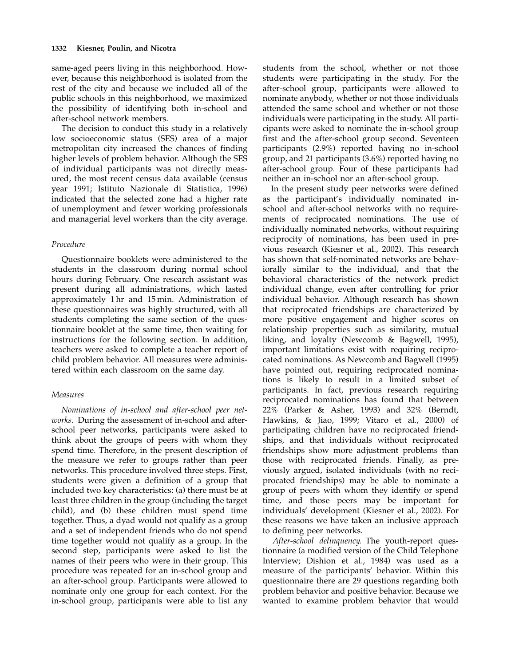same-aged peers living in this neighborhood. However, because this neighborhood is isolated from the rest of the city and because we included all of the public schools in this neighborhood, we maximized the possibility of identifying both in-school and after-school network members.

The decision to conduct this study in a relatively low socioeconomic status (SES) area of a major metropolitan city increased the chances of finding higher levels of problem behavior. Although the SES of individual participants was not directly measured, the most recent census data available (census year 1991; Istituto Nazionale di Statistica, 1996) indicated that the selected zone had a higher rate of unemployment and fewer working professionals and managerial level workers than the city average.

## Procedure

Questionnaire booklets were administered to the students in the classroom during normal school hours during February. One research assistant was present during all administrations, which lasted approximately 1 hr and 15 min. Administration of these questionnaires was highly structured, with all students completing the same section of the questionnaire booklet at the same time, then waiting for instructions for the following section. In addition, teachers were asked to complete a teacher report of child problem behavior. All measures were administered within each classroom on the same day.

## Measures

Nominations of in-school and after-school peer networks. During the assessment of in-school and afterschool peer networks, participants were asked to think about the groups of peers with whom they spend time. Therefore, in the present description of the measure we refer to groups rather than peer networks. This procedure involved three steps. First, students were given a definition of a group that included two key characteristics: (a) there must be at least three children in the group (including the target child), and (b) these children must spend time together. Thus, a dyad would not qualify as a group and a set of independent friends who do not spend time together would not qualify as a group. In the second step, participants were asked to list the names of their peers who were in their group. This procedure was repeated for an in-school group and an after-school group. Participants were allowed to nominate only one group for each context. For the in-school group, participants were able to list any

students from the school, whether or not those students were participating in the study. For the after-school group, participants were allowed to nominate anybody, whether or not those individuals attended the same school and whether or not those individuals were participating in the study. All participants were asked to nominate the in-school group first and the after-school group second. Seventeen participants (2.9%) reported having no in-school group, and 21 participants (3.6%) reported having no after-school group. Four of these participants had neither an in-school nor an after-school group.

In the present study peer networks were defined as the participant's individually nominated inschool and after-school networks with no requirements of reciprocated nominations. The use of individually nominated networks, without requiring reciprocity of nominations, has been used in previous research (Kiesner et al., 2002). This research has shown that self-nominated networks are behaviorally similar to the individual, and that the behavioral characteristics of the network predict individual change, even after controlling for prior individual behavior. Although research has shown that reciprocated friendships are characterized by more positive engagement and higher scores on relationship properties such as similarity, mutual liking, and loyalty (Newcomb & Bagwell, 1995), important limitations exist with requiring reciprocated nominations. As Newcomb and Bagwell (1995) have pointed out, requiring reciprocated nominations is likely to result in a limited subset of participants. In fact, previous research requiring reciprocated nominations has found that between 22% (Parker & Asher, 1993) and 32% (Berndt, Hawkins, & Jiao, 1999; Vitaro et al., 2000) of participating children have no reciprocated friendships, and that individuals without reciprocated friendships show more adjustment problems than those with reciprocated friends. Finally, as previously argued, isolated individuals (with no reciprocated friendships) may be able to nominate a group of peers with whom they identify or spend time, and those peers may be important for individuals' development (Kiesner et al., 2002). For these reasons we have taken an inclusive approach to defining peer networks.

After-school delinquency. The youth-report questionnaire (a modified version of the Child Telephone Interview; Dishion et al., 1984) was used as a measure of the participants' behavior. Within this questionnaire there are 29 questions regarding both problem behavior and positive behavior. Because we wanted to examine problem behavior that would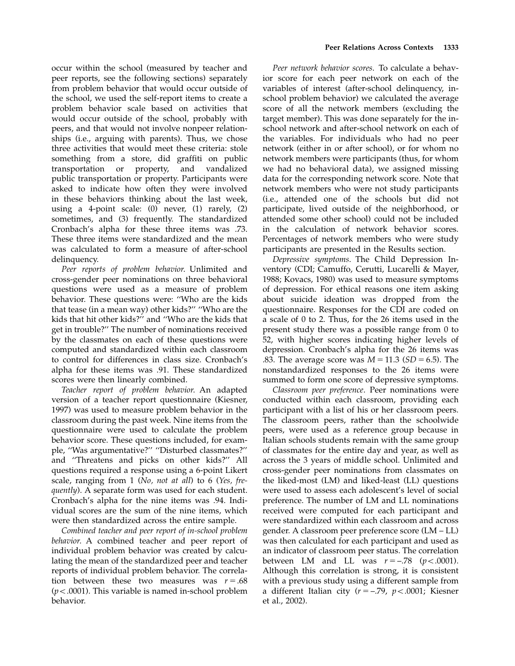occur within the school (measured by teacher and peer reports, see the following sections) separately from problem behavior that would occur outside of the school, we used the self-report items to create a problem behavior scale based on activities that would occur outside of the school, probably with peers, and that would not involve nonpeer relationships (i.e., arguing with parents). Thus, we chose three activities that would meet these criteria: stole something from a store, did graffiti on public transportation or property, and vandalized public transportation or property. Participants were asked to indicate how often they were involved in these behaviors thinking about the last week, using a 4-point scale: (0) never, (1) rarely, (2) sometimes, and (3) frequently. The standardized Cronbach's alpha for these three items was .73. These three items were standardized and the mean was calculated to form a measure of after-school delinquency.

Peer reports of problem behavior. Unlimited and cross-gender peer nominations on three behavioral questions were used as a measure of problem behavior. These questions were: ''Who are the kids that tease (in a mean way) other kids?'' ''Who are the kids that hit other kids?'' and ''Who are the kids that get in trouble?'' The number of nominations received by the classmates on each of these questions were computed and standardized within each classroom to control for differences in class size. Cronbach's alpha for these items was .91. These standardized scores were then linearly combined.

Teacher report of problem behavior. An adapted version of a teacher report questionnaire (Kiesner, 1997) was used to measure problem behavior in the classroom during the past week. Nine items from the questionnaire were used to calculate the problem behavior score. These questions included, for example, ''Was argumentative?'' ''Disturbed classmates?'' and ''Threatens and picks on other kids?'' All questions required a response using a 6-point Likert scale, ranging from 1 (No, not at all) to 6 (Yes, frequently). A separate form was used for each student. Cronbach's alpha for the nine items was .94. Individual scores are the sum of the nine items, which were then standardized across the entire sample.

Combined teacher and peer report of in-school problem behavior. A combined teacher and peer report of individual problem behavior was created by calculating the mean of the standardized peer and teacher reports of individual problem behavior. The correlation between these two measures was  $r = .68$  $(p<.0001)$ . This variable is named in-school problem behavior.

Peer network behavior scores. To calculate a behavior score for each peer network on each of the variables of interest (after-school delinquency, inschool problem behavior) we calculated the average score of all the network members (excluding the target member). This was done separately for the inschool network and after-school network on each of the variables. For individuals who had no peer network (either in or after school), or for whom no network members were participants (thus, for whom we had no behavioral data), we assigned missing data for the corresponding network score. Note that network members who were not study participants (i.e., attended one of the schools but did not participate, lived outside of the neighborhood, or attended some other school) could not be included in the calculation of network behavior scores. Percentages of network members who were study participants are presented in the Results section.

Depressive symptoms. The Child Depression Inventory (CDI; Camuffo, Cerutti, Lucarelli & Mayer, 1988; Kovacs, 1980) was used to measure symptoms of depression. For ethical reasons one item asking about suicide ideation was dropped from the questionnaire. Responses for the CDI are coded on a scale of 0 to 2. Thus, for the 26 items used in the present study there was a possible range from 0 to 52, with higher scores indicating higher levels of depression. Cronbach's alpha for the 26 items was .83. The average score was  $M = 11.3$  (SD = 6.5). The nonstandardized responses to the 26 items were summed to form one score of depressive symptoms.

Classroom peer preference. Peer nominations were conducted within each classroom, providing each participant with a list of his or her classroom peers. The classroom peers, rather than the schoolwide peers, were used as a reference group because in Italian schools students remain with the same group of classmates for the entire day and year, as well as across the 3 years of middle school. Unlimited and cross-gender peer nominations from classmates on the liked-most (LM) and liked-least (LL) questions were used to assess each adolescent's level of social preference. The number of LM and LL nominations received were computed for each participant and were standardized within each classroom and across gender. A classroom peer preference score (LM – LL) was then calculated for each participant and used as an indicator of classroom peer status. The correlation between LM and LL was  $r = -.78$  ( $p < .0001$ ). Although this correlation is strong, it is consistent with a previous study using a different sample from a different Italian city ( $r = -.79$ ,  $p < .0001$ ; Kiesner et al., 2002).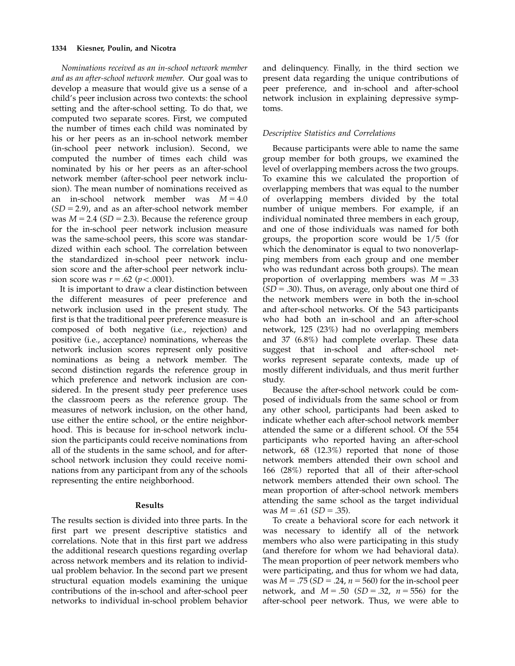## 1334 Kiesner, Poulin, and Nicotra

Nominations received as an in-school network member and as an after-school network member. Our goal was to develop a measure that would give us a sense of a child's peer inclusion across two contexts: the school setting and the after-school setting. To do that, we computed two separate scores. First, we computed the number of times each child was nominated by his or her peers as an in-school network member (in-school peer network inclusion). Second, we computed the number of times each child was nominated by his or her peers as an after-school network member (after-school peer network inclusion). The mean number of nominations received as an in-school network member was  $M = 4.0$  $(SD = 2.9)$ , and as an after-school network member was  $M = 2.4$  (SD = 2.3). Because the reference group for the in-school peer network inclusion measure was the same-school peers, this score was standardized within each school. The correlation between the standardized in-school peer network inclusion score and the after-school peer network inclusion score was  $r = .62$  ( $p < .0001$ ).

It is important to draw a clear distinction between the different measures of peer preference and network inclusion used in the present study. The first is that the traditional peer preference measure is composed of both negative (i.e., rejection) and positive (i.e., acceptance) nominations, whereas the network inclusion scores represent only positive nominations as being a network member. The second distinction regards the reference group in which preference and network inclusion are considered. In the present study peer preference uses the classroom peers as the reference group. The measures of network inclusion, on the other hand, use either the entire school, or the entire neighborhood. This is because for in-school network inclusion the participants could receive nominations from all of the students in the same school, and for afterschool network inclusion they could receive nominations from any participant from any of the schools representing the entire neighborhood.

#### Results

The results section is divided into three parts. In the first part we present descriptive statistics and correlations. Note that in this first part we address the additional research questions regarding overlap across network members and its relation to individual problem behavior. In the second part we present structural equation models examining the unique contributions of the in-school and after-school peer networks to individual in-school problem behavior

and delinquency. Finally, in the third section we present data regarding the unique contributions of peer preference, and in-school and after-school network inclusion in explaining depressive symptoms.

## Descriptive Statistics and Correlations

Because participants were able to name the same group member for both groups, we examined the level of overlapping members across the two groups. To examine this we calculated the proportion of overlapping members that was equal to the number of overlapping members divided by the total number of unique members. For example, if an individual nominated three members in each group, and one of those individuals was named for both groups, the proportion score would be 1/5 (for which the denominator is equal to two nonoverlapping members from each group and one member who was redundant across both groups). The mean proportion of overlapping members was  $M = .33$  $(SD = .30)$ . Thus, on average, only about one third of the network members were in both the in-school and after-school networks. Of the 543 participants who had both an in-school and an after-school network, 125 (23%) had no overlapping members and 37 (6.8%) had complete overlap. These data suggest that in-school and after-school networks represent separate contexts, made up of mostly different individuals, and thus merit further study.

Because the after-school network could be composed of individuals from the same school or from any other school, participants had been asked to indicate whether each after-school network member attended the same or a different school. Of the 554 participants who reported having an after-school network, 68 (12.3%) reported that none of those network members attended their own school and 166 (28%) reported that all of their after-school network members attended their own school. The mean proportion of after-school network members attending the same school as the target individual was  $M = .61$  (SD = .35).

To create a behavioral score for each network it was necessary to identify all of the network members who also were participating in this study (and therefore for whom we had behavioral data). The mean proportion of peer network members who were participating, and thus for whom we had data, was  $M = .75$  (*SD* = .24,  $n = 560$ ) for the in-school peer network, and  $M = .50$  (*SD* = .32,  $n = 556$ ) for the after-school peer network. Thus, we were able to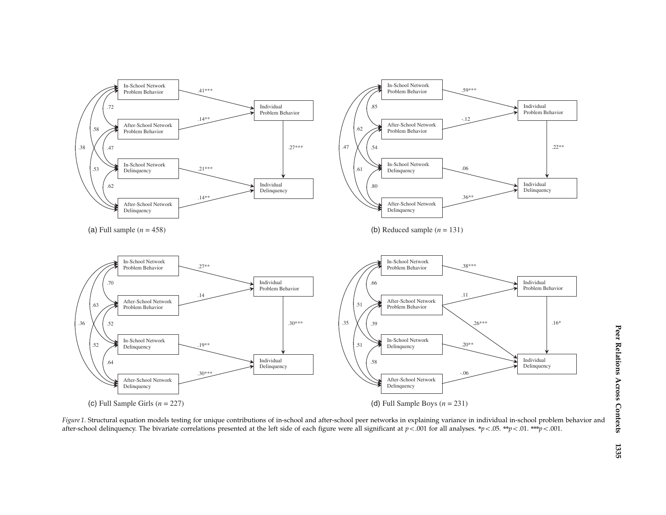

Figure 1. Structural equation models testing for unique contributions of in-school and after-school peer networks in explaining variance in individual in-school problem behavior and after-school delinquency. The bivariate correlations presented at the left side of each figure were all significant at  $p < .001$  for all analyses. \* $p < .05$ . \*\* $p < .01$ . \*\*\* $p < .001$ .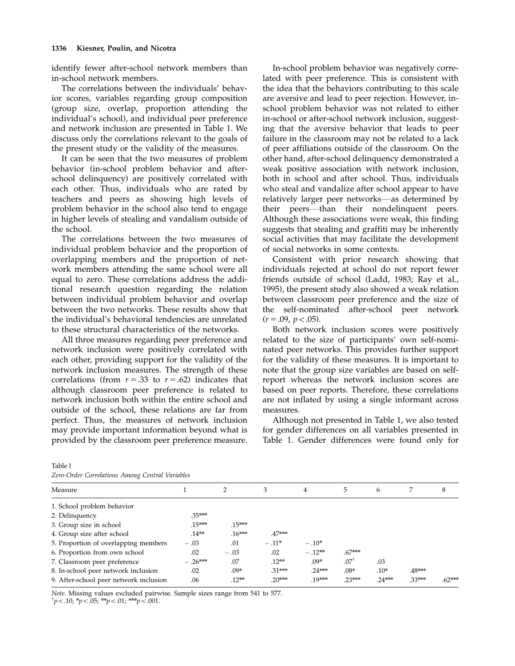#### 1336 Kiesner, Poulin, and Nicotra

identify fewer after-school network members than in-school network members.

The correlations between the individuals' behavior scores, variables regarding group composition (group size, overlap, proportion attending the individual's school), and individual peer preference and network inclusion are presented in Table 1. We discuss only the correlations relevant to the goals of the present study or the validity of the measures.

It can be seen that the two measures of problem behavior (in-school problem behavior and afterschool delinquency) are positively correlated with each other. Thus, individuals who are rated by teachers and peers as showing high levels of problem behavior in the school also tend to engage in higher levels of stealing and vandalism outside of the school.

The correlations between the two measures of individual problem behavior and the proportion of overlapping members and the proportion of network members attending the same school were all equal to zero. These correlations address the additional research question regarding the relation between individual problem behavior and overlap between the two networks. These results show that the individual's behavioral tendencies are unrelated to these structural characteristics of the networks.

All three measures regarding peer preference and network inclusion were positively correlated with each other, providing support for the validity of the network inclusion measures. The strength of these correlations (from  $r = .33$  to  $r = .62$ ) indicates that although classroom peer preference is related to network inclusion both within the entire school and outside of the school, these relations are far from perfect. Thus, the measures of network inclusion may provide important information beyond what is provided by the classroom peer preference measure.

In-school problem behavior was negatively correlated with peer preference. This is consistent with the idea that the behaviors contributing to this scale are aversive and lead to peer rejection. However, inschool problem behavior was not related to either in-school or after-school network inclusion, suggesting that the aversive behavior that leads to peer failure in the classroom may not be related to a lack of peer affiliations outside of the classroom. On the other hand, after-school delinquency demonstrated a weak positive association with network inclusion, both in school and after school. Thus, individuals who steal and vandalize after school appear to have relatively larger peer networks-as determined by their peers—than their nondelinquent peers. Although these associations were weak, this finding suggests that stealing and graffiti may be inherently social activities that may facilitate the development of social networks in some contexts.

Consistent with prior research showing that individuals rejected at school do not report fewer friends outside of school (Ladd, 1983; Ray et al., 1995), the present study also showed a weak relation between classroom peer preference and the size of the self-nominated after-school peer network  $(r = .09, p < .05).$ 

Both network inclusion scores were positively related to the size of participants' own self-nominated peer networks. This provides further support for the validity of these measures. It is important to note that the group size variables are based on selfreport whereas the network inclusion scores are based on peer reports. Therefore, these correlations are not inflated by using a single informant across measures.

Although not presented in Table 1, we also tested for gender differences on all variables presented in Table 1. Gender differences were found only for

| Zero-Order Correlations Among Central Variables |           |                |          |           |                 |          |          |          |  |
|-------------------------------------------------|-----------|----------------|----------|-----------|-----------------|----------|----------|----------|--|
| Measure                                         |           | $\overline{2}$ | 3        | 4         | 5               | 6        |          | 8        |  |
| 1. School problem behavior                      |           |                |          |           |                 |          |          |          |  |
| 2. Delinquency                                  | $.35***$  |                |          |           |                 |          |          |          |  |
| 3. Group size in school                         | $.15***$  | $.15***$       |          |           |                 |          |          |          |  |
| 4. Group size after school                      | $.14***$  | $.16***$       | $.47***$ |           |                 |          |          |          |  |
| 5. Proportion of overlapping members            | $-.03$    | .01            | $-.11*$  | $-.10*$   |                 |          |          |          |  |
| 6. Proportion from own school                   | .02       | $-.03$         | .02      | $-.12***$ | $.67***$        |          |          |          |  |
| 7. Classroom peer preference                    | $-.26***$ | .07            | $.12**$  | $.09*$    | $.07^{\dagger}$ | .03      |          |          |  |
| 8. In-school peer network inclusion             | .02       | $.09*$         | $.31***$ | $.24***$  | $.08*$          | $.10*$   | $.48***$ |          |  |
| 9. After-school peer network inclusion          | .06       | $.12***$       | $.20***$ | $.19***$  | $.23***$        | $.24***$ | $.33***$ | $.62***$ |  |

## Table 1 Zero-Order Correlations Among Central Variables

Note. Missing values excluded pairwise. Sample sizes range from 541 to 577.

 $\ddot{p}$  < .10;  $\ddot{p}$  < .05; \*\*p < .01; \*\*p < .001.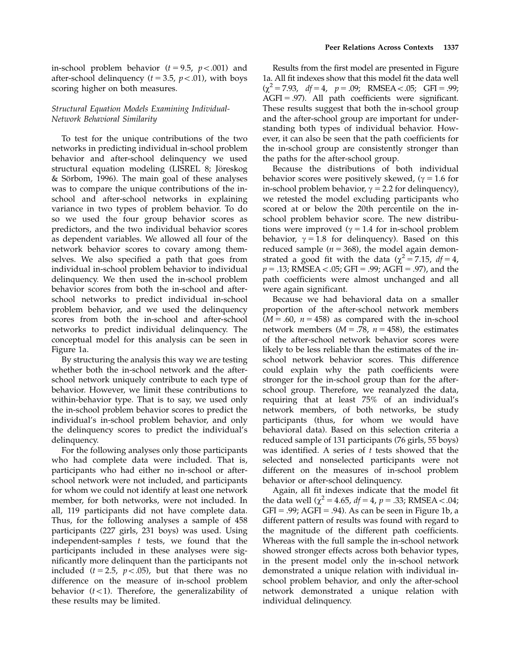in-school problem behavior  $(t = 9.5, p < .001)$  and after-school delinquency ( $t = 3.5$ ,  $p < .01$ ), with boys scoring higher on both measures.

# Structural Equation Models Examining Individual-Network Behavioral Similarity

To test for the unique contributions of the two networks in predicting individual in-school problem behavior and after-school delinquency we used structural equation modeling (LISREL 8; Jöreskog & Sörbom, 1996). The main goal of these analyses was to compare the unique contributions of the inschool and after-school networks in explaining variance in two types of problem behavior. To do so we used the four group behavior scores as predictors, and the two individual behavior scores as dependent variables. We allowed all four of the network behavior scores to covary among themselves. We also specified a path that goes from individual in-school problem behavior to individual delinquency. We then used the in-school problem behavior scores from both the in-school and afterschool networks to predict individual in-school problem behavior, and we used the delinquency scores from both the in-school and after-school networks to predict individual delinquency. The conceptual model for this analysis can be seen in Figure 1a.

By structuring the analysis this way we are testing whether both the in-school network and the afterschool network uniquely contribute to each type of behavior. However, we limit these contributions to within-behavior type. That is to say, we used only the in-school problem behavior scores to predict the individual's in-school problem behavior, and only the delinquency scores to predict the individual's delinquency.

For the following analyses only those participants who had complete data were included. That is, participants who had either no in-school or afterschool network were not included, and participants for whom we could not identify at least one network member, for both networks, were not included. In all, 119 participants did not have complete data. Thus, for the following analyses a sample of 458 participants (227 girls, 231 boys) was used. Using independent-samples  $t$  tests, we found that the participants included in these analyses were significantly more delinquent than the participants not included ( $t = 2.5$ ,  $p < .05$ ), but that there was no difference on the measure of in-school problem behavior  $(t<1)$ . Therefore, the generalizability of these results may be limited.

Results from the first model are presented in Figure 1a. All fit indexes show that this model fit the data well  $(\chi^2 = 7.93, \text{ df} = 4, \text{ p} = .09; \text{ RMSEA} < .05; \text{ GFI} = .99;$  $AGFI = .97$ ). All path coefficients were significant. These results suggest that both the in-school group and the after-school group are important for understanding both types of individual behavior. However, it can also be seen that the path coefficients for the in-school group are consistently stronger than the paths for the after-school group.

Because the distributions of both individual behavior scores were positively skewed,  $(\gamma = 1.6$  for in-school problem behavior,  $\gamma$  = 2.2 for delinquency), we retested the model excluding participants who scored at or below the 20th percentile on the inschool problem behavior score. The new distributions were improved ( $\gamma$  = 1.4 for in-school problem behavior,  $\gamma = 1.8$  for delinquency). Based on this reduced sample ( $n = 368$ ), the model again demonstrated a good fit with the data ( $\chi^2$  = 7.15, df = 4,  $p = .13$ ; RMSEA < .05; GFI = .99; AGFI = .97), and the path coefficients were almost unchanged and all were again significant.

Because we had behavioral data on a smaller proportion of the after-school network members  $(M = .60, n = 458)$  as compared with the in-school network members ( $M = .78$ ,  $n = 458$ ), the estimates of the after-school network behavior scores were likely to be less reliable than the estimates of the inschool network behavior scores. This difference could explain why the path coefficients were stronger for the in-school group than for the afterschool group. Therefore, we reanalyzed the data, requiring that at least 75% of an individual's network members, of both networks, be study participants (thus, for whom we would have behavioral data). Based on this selection criteria a reduced sample of 131 participants (76 girls, 55 boys) was identified. A series of  $t$  tests showed that the selected and nonselected participants were not different on the measures of in-school problem behavior or after-school delinquency.

Again, all fit indexes indicate that the model fit the data well ( $\chi^2$  = 4.65, *df* = 4, *p* = .33; RMSEA < .04;  $GFI = .99$ ;  $AGFI = .94$ ). As can be seen in Figure 1b, a different pattern of results was found with regard to the magnitude of the different path coefficients. Whereas with the full sample the in-school network showed stronger effects across both behavior types, in the present model only the in-school network demonstrated a unique relation with individual inschool problem behavior, and only the after-school network demonstrated a unique relation with individual delinquency.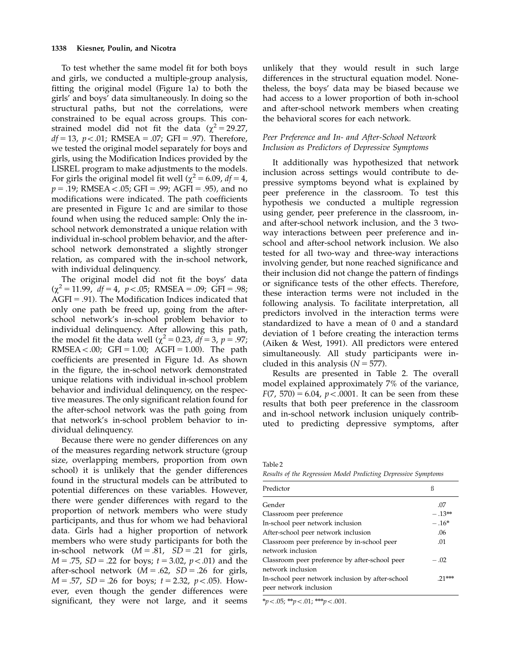To test whether the same model fit for both boys and girls, we conducted a multiple-group analysis, fitting the original model (Figure 1a) to both the girls' and boys' data simultaneously. In doing so the structural paths, but not the correlations, were constrained to be equal across groups. This constrained model did not fit the data ( $\chi^2$  = 29.27,  $df = 13$ ,  $p < .01$ ; RMSEA = .07; GFI = .97). Therefore, we tested the original model separately for boys and girls, using the Modification Indices provided by the LISREL program to make adjustments to the models. For girls the original model fit well ( $\chi^2$  = 6.09, *df* = 4,  $p = .19$ ; RMSEA < .05; GFI = .99; AGFI = .95), and no modifications were indicated. The path coefficients are presented in Figure 1c and are similar to those found when using the reduced sample: Only the inschool network demonstrated a unique relation with individual in-school problem behavior, and the afterschool network demonstrated a slightly stronger relation, as compared with the in-school network, with individual delinquency.

The original model did not fit the boys' data  $(\chi^2 = 11.99, df = 4, p < .05; RMSEA = .09; GF = .98;$  $AGFI = .91$ ). The Modification Indices indicated that only one path be freed up, going from the afterschool network's in-school problem behavior to individual delinquency. After allowing this path, the model fit the data well ( $\chi^2$  = 0.23, *df* = 3, *p* = .97; RMSEA < .00; GFI = 1.00; AGFI = 1.00). The path coefficients are presented in Figure 1d. As shown in the figure, the in-school network demonstrated unique relations with individual in-school problem behavior and individual delinquency, on the respective measures. The only significant relation found for the after-school network was the path going from that network's in-school problem behavior to individual delinquency.

Because there were no gender differences on any of the measures regarding network structure (group size, overlapping members, proportion from own school) it is unlikely that the gender differences found in the structural models can be attributed to potential differences on these variables. However, there were gender differences with regard to the proportion of network members who were study participants, and thus for whom we had behavioral data. Girls had a higher proportion of network members who were study participants for both the in-school network  $(M = .81, SD = .21$  for girls,  $M = .75$ ,  $SD = .22$  for boys;  $t = 3.02$ ,  $p < .01$ ) and the after-school network  $(M = .62, SD = .26$  for girls,  $M = .57$ ,  $SD = .26$  for boys;  $t = 2.32$ ,  $p < .05$ ). However, even though the gender differences were significant, they were not large, and it seems unlikely that they would result in such large differences in the structural equation model. Nonetheless, the boys' data may be biased because we had access to a lower proportion of both in-school and after-school network members when creating the behavioral scores for each network.

# Peer Preference and In- and After-School Network Inclusion as Predictors of Depressive Symptoms

It additionally was hypothesized that network inclusion across settings would contribute to depressive symptoms beyond what is explained by peer preference in the classroom. To test this hypothesis we conducted a multiple regression using gender, peer preference in the classroom, inand after-school network inclusion, and the 3 twoway interactions between peer preference and inschool and after-school network inclusion. We also tested for all two-way and three-way interactions involving gender, but none reached significance and their inclusion did not change the pattern of findings or significance tests of the other effects. Therefore, these interaction terms were not included in the following analysis. To facilitate interpretation, all predictors involved in the interaction terms were standardized to have a mean of 0 and a standard deviation of 1 before creating the interaction terms (Aiken & West, 1991). All predictors were entered simultaneously. All study participants were included in this analysis  $(N = 577)$ .

Results are presented in Table 2. The overall model explained approximately 7% of the variance,  $F(7, 570) = 6.04$ ,  $p < .0001$ . It can be seen from these results that both peer preference in the classroom and in-school network inclusion uniquely contributed to predicting depressive symptoms, after

Table 2

Results of the Regression Model Predicting Depressive Symptoms

| Predictor                                        |           |
|--------------------------------------------------|-----------|
| Gender                                           | .07       |
| Classroom peer preference                        | $-.13***$ |
| In-school peer network inclusion                 | $-.16*$   |
| After-school peer network inclusion              | .06       |
| Classroom peer preference by in-school peer      | .01       |
| network inclusion                                |           |
| Classroom peer preference by after-school peer   | $-.02$    |
| network inclusion                                |           |
| In-school peer network inclusion by after-school | $21***$   |
| peer network inclusion                           |           |

\* $p < .05$ ; \*\* $p < .01$ ; \*\*\* $p < .001$ .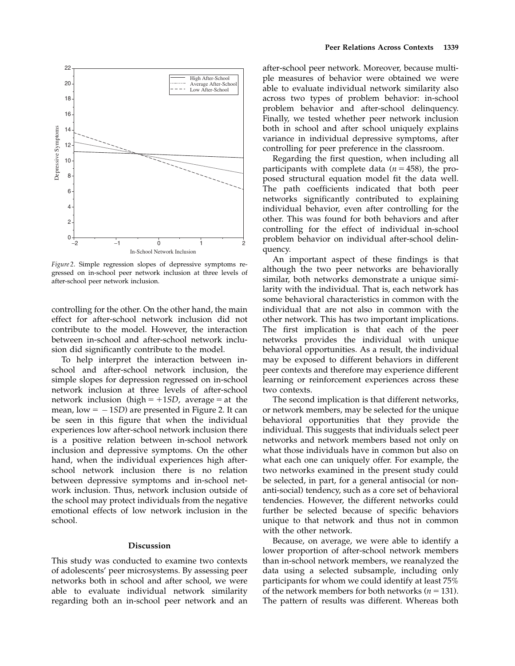

Figure 2. Simple regression slopes of depressive symptoms regressed on in-school peer network inclusion at three levels of after-school peer network inclusion.

controlling for the other. On the other hand, the main effect for after-school network inclusion did not contribute to the model. However, the interaction between in-school and after-school network inclusion did significantly contribute to the model.

To help interpret the interaction between inschool and after-school network inclusion, the simple slopes for depression regressed on in-school network inclusion at three levels of after-school network inclusion (high  $= +1SD$ , average  $=$  at the mean,  $low = -1SD$ ) are presented in Figure 2. It can be seen in this figure that when the individual experiences low after-school network inclusion there is a positive relation between in-school network inclusion and depressive symptoms. On the other hand, when the individual experiences high afterschool network inclusion there is no relation between depressive symptoms and in-school network inclusion. Thus, network inclusion outside of the school may protect individuals from the negative emotional effects of low network inclusion in the school.

## Discussion

This study was conducted to examine two contexts of adolescents' peer microsystems. By assessing peer networks both in school and after school, we were able to evaluate individual network similarity regarding both an in-school peer network and an

after-school peer network. Moreover, because multiple measures of behavior were obtained we were able to evaluate individual network similarity also across two types of problem behavior: in-school problem behavior and after-school delinquency. Finally, we tested whether peer network inclusion both in school and after school uniquely explains variance in individual depressive symptoms, after controlling for peer preference in the classroom.

Regarding the first question, when including all participants with complete data ( $n = 458$ ), the proposed structural equation model fit the data well. The path coefficients indicated that both peer networks significantly contributed to explaining individual behavior, even after controlling for the other. This was found for both behaviors and after controlling for the effect of individual in-school problem behavior on individual after-school delinquency.

An important aspect of these findings is that although the two peer networks are behaviorally similar, both networks demonstrate a unique similarity with the individual. That is, each network has some behavioral characteristics in common with the individual that are not also in common with the other network. This has two important implications. The first implication is that each of the peer networks provides the individual with unique behavioral opportunities. As a result, the individual may be exposed to different behaviors in different peer contexts and therefore may experience different learning or reinforcement experiences across these two contexts.

The second implication is that different networks, or network members, may be selected for the unique behavioral opportunities that they provide the individual. This suggests that individuals select peer networks and network members based not only on what those individuals have in common but also on what each one can uniquely offer. For example, the two networks examined in the present study could be selected, in part, for a general antisocial (or nonanti-social) tendency, such as a core set of behavioral tendencies. However, the different networks could further be selected because of specific behaviors unique to that network and thus not in common with the other network.

Because, on average, we were able to identify a lower proportion of after-school network members than in-school network members, we reanalyzed the data using a selected subsample, including only participants for whom we could identify at least 75% of the network members for both networks ( $n = 131$ ). The pattern of results was different. Whereas both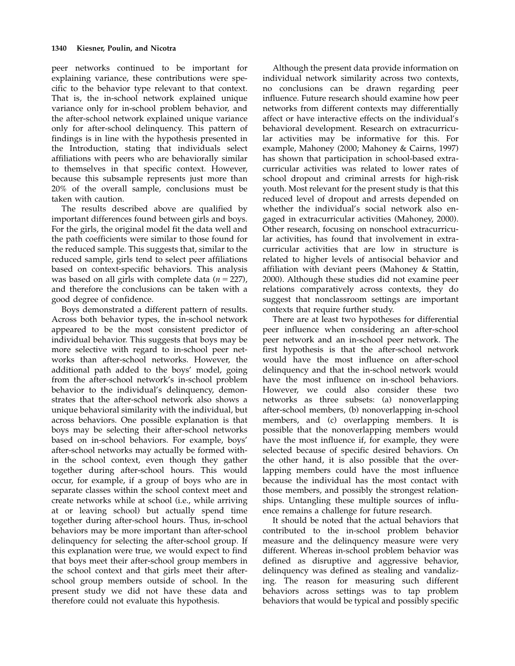peer networks continued to be important for explaining variance, these contributions were specific to the behavior type relevant to that context. That is, the in-school network explained unique variance only for in-school problem behavior, and the after-school network explained unique variance only for after-school delinquency. This pattern of findings is in line with the hypothesis presented in the Introduction, stating that individuals select affiliations with peers who are behaviorally similar to themselves in that specific context. However, because this subsample represents just more than 20% of the overall sample, conclusions must be taken with caution.

The results described above are qualified by important differences found between girls and boys. For the girls, the original model fit the data well and the path coefficients were similar to those found for the reduced sample. This suggests that, similar to the reduced sample, girls tend to select peer affiliations based on context-specific behaviors. This analysis was based on all girls with complete data ( $n = 227$ ), and therefore the conclusions can be taken with a good degree of confidence.

Boys demonstrated a different pattern of results. Across both behavior types, the in-school network appeared to be the most consistent predictor of individual behavior. This suggests that boys may be more selective with regard to in-school peer networks than after-school networks. However, the additional path added to the boys' model, going from the after-school network's in-school problem behavior to the individual's delinquency, demonstrates that the after-school network also shows a unique behavioral similarity with the individual, but across behaviors. One possible explanation is that boys may be selecting their after-school networks based on in-school behaviors. For example, boys' after-school networks may actually be formed within the school context, even though they gather together during after-school hours. This would occur, for example, if a group of boys who are in separate classes within the school context meet and create networks while at school (i.e., while arriving at or leaving school) but actually spend time together during after-school hours. Thus, in-school behaviors may be more important than after-school delinquency for selecting the after-school group. If this explanation were true, we would expect to find that boys meet their after-school group members in the school context and that girls meet their afterschool group members outside of school. In the present study we did not have these data and therefore could not evaluate this hypothesis.

Although the present data provide information on individual network similarity across two contexts, no conclusions can be drawn regarding peer influence. Future research should examine how peer networks from different contexts may differentially affect or have interactive effects on the individual's behavioral development. Research on extracurricular activities may be informative for this. For example, Mahoney (2000; Mahoney & Cairns, 1997) has shown that participation in school-based extracurricular activities was related to lower rates of school dropout and criminal arrests for high-risk youth. Most relevant for the present study is that this reduced level of dropout and arrests depended on whether the individual's social network also engaged in extracurricular activities (Mahoney, 2000). Other research, focusing on nonschool extracurricular activities, has found that involvement in extracurricular activities that are low in structure is related to higher levels of antisocial behavior and affiliation with deviant peers (Mahoney & Stattin, 2000). Although these studies did not examine peer relations comparatively across contexts, they do suggest that nonclassroom settings are important contexts that require further study.

There are at least two hypotheses for differential peer influence when considering an after-school peer network and an in-school peer network. The first hypothesis is that the after-school network would have the most influence on after-school delinquency and that the in-school network would have the most influence on in-school behaviors. However, we could also consider these two networks as three subsets: (a) nonoverlapping after-school members, (b) nonoverlapping in-school members, and (c) overlapping members. It is possible that the nonoverlapping members would have the most influence if, for example, they were selected because of specific desired behaviors. On the other hand, it is also possible that the overlapping members could have the most influence because the individual has the most contact with those members, and possibly the strongest relationships. Untangling these multiple sources of influence remains a challenge for future research.

It should be noted that the actual behaviors that contributed to the in-school problem behavior measure and the delinquency measure were very different. Whereas in-school problem behavior was defined as disruptive and aggressive behavior, delinquency was defined as stealing and vandalizing. The reason for measuring such different behaviors across settings was to tap problem behaviors that would be typical and possibly specific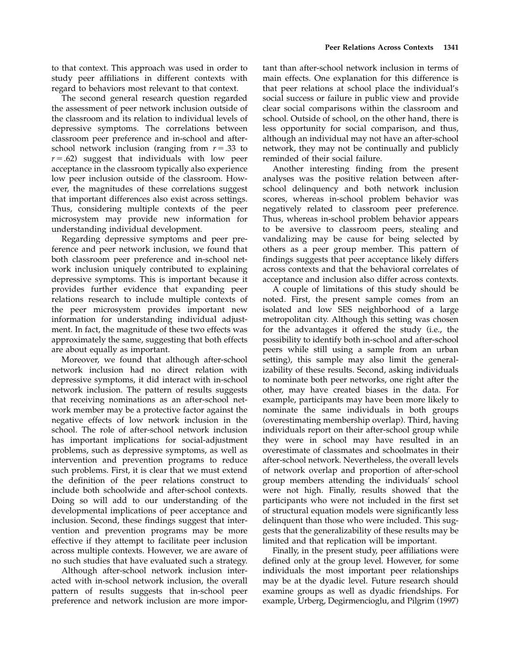to that context. This approach was used in order to study peer affiliations in different contexts with regard to behaviors most relevant to that context.

The second general research question regarded the assessment of peer network inclusion outside of the classroom and its relation to individual levels of depressive symptoms. The correlations between classroom peer preference and in-school and afterschool network inclusion (ranging from  $r = .33$  to  $r = .62$ ) suggest that individuals with low peer acceptance in the classroom typically also experience low peer inclusion outside of the classroom. However, the magnitudes of these correlations suggest that important differences also exist across settings. Thus, considering multiple contexts of the peer microsystem may provide new information for understanding individual development.

Regarding depressive symptoms and peer preference and peer network inclusion, we found that both classroom peer preference and in-school network inclusion uniquely contributed to explaining depressive symptoms. This is important because it provides further evidence that expanding peer relations research to include multiple contexts of the peer microsystem provides important new information for understanding individual adjustment. In fact, the magnitude of these two effects was approximately the same, suggesting that both effects are about equally as important.

Moreover, we found that although after-school network inclusion had no direct relation with depressive symptoms, it did interact with in-school network inclusion. The pattern of results suggests that receiving nominations as an after-school network member may be a protective factor against the negative effects of low network inclusion in the school. The role of after-school network inclusion has important implications for social-adjustment problems, such as depressive symptoms, as well as intervention and prevention programs to reduce such problems. First, it is clear that we must extend the definition of the peer relations construct to include both schoolwide and after-school contexts. Doing so will add to our understanding of the developmental implications of peer acceptance and inclusion. Second, these findings suggest that intervention and prevention programs may be more effective if they attempt to facilitate peer inclusion across multiple contexts. However, we are aware of no such studies that have evaluated such a strategy.

Although after-school network inclusion interacted with in-school network inclusion, the overall pattern of results suggests that in-school peer preference and network inclusion are more important than after-school network inclusion in terms of main effects. One explanation for this difference is that peer relations at school place the individual's social success or failure in public view and provide clear social comparisons within the classroom and school. Outside of school, on the other hand, there is less opportunity for social comparison, and thus, although an individual may not have an after-school network, they may not be continually and publicly reminded of their social failure.

Another interesting finding from the present analyses was the positive relation between afterschool delinquency and both network inclusion scores, whereas in-school problem behavior was negatively related to classroom peer preference. Thus, whereas in-school problem behavior appears to be aversive to classroom peers, stealing and vandalizing may be cause for being selected by others as a peer group member. This pattern of findings suggests that peer acceptance likely differs across contexts and that the behavioral correlates of acceptance and inclusion also differ across contexts.

A couple of limitations of this study should be noted. First, the present sample comes from an isolated and low SES neighborhood of a large metropolitan city. Although this setting was chosen for the advantages it offered the study (i.e., the possibility to identify both in-school and after-school peers while still using a sample from an urban setting), this sample may also limit the generalizability of these results. Second, asking individuals to nominate both peer networks, one right after the other, may have created biases in the data. For example, participants may have been more likely to nominate the same individuals in both groups (overestimating membership overlap). Third, having individuals report on their after-school group while they were in school may have resulted in an overestimate of classmates and schoolmates in their after-school network. Nevertheless, the overall levels of network overlap and proportion of after-school group members attending the individuals' school were not high. Finally, results showed that the participants who were not included in the first set of structural equation models were significantly less delinquent than those who were included. This suggests that the generalizability of these results may be limited and that replication will be important.

Finally, in the present study, peer affiliations were defined only at the group level. However, for some individuals the most important peer relationships may be at the dyadic level. Future research should examine groups as well as dyadic friendships. For example, Urberg, Degirmencioglu, and Pilgrim (1997)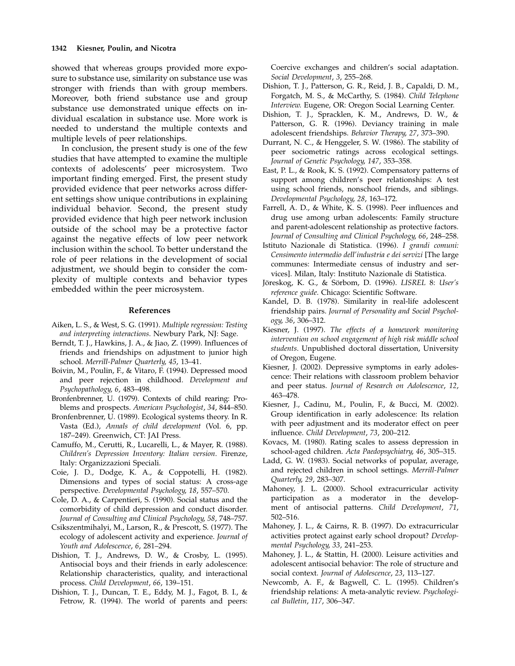showed that whereas groups provided more exposure to substance use, similarity on substance use was stronger with friends than with group members. Moreover, both friend substance use and group substance use demonstrated unique effects on individual escalation in substance use. More work is needed to understand the multiple contexts and multiple levels of peer relationships.

In conclusion, the present study is one of the few studies that have attempted to examine the multiple contexts of adolescents' peer microsystem. Two important finding emerged. First, the present study provided evidence that peer networks across different settings show unique contributions in explaining individual behavior. Second, the present study provided evidence that high peer network inclusion outside of the school may be a protective factor against the negative effects of low peer network inclusion within the school. To better understand the role of peer relations in the development of social adjustment, we should begin to consider the complexity of multiple contexts and behavior types embedded within the peer microsystem.

## References

- Aiken, L. S., & West, S. G. (1991). Multiple regression: Testing and interpreting interactions. Newbury Park, NJ: Sage.
- Berndt, T. J., Hawkins, J. A., & Jiao, Z. (1999). Influences of friends and friendships on adjustment to junior high school. Merrill-Palmer Quarterly, 45, 13–41.
- Boivin, M., Poulin, F., & Vitaro, F. (1994). Depressed mood and peer rejection in childhood. Development and Psychopathology, 6, 483–498.
- Bronfenbrenner, U. (1979). Contexts of child rearing: Problems and prospects. American Psychologist, 34, 844–850.
- Bronfenbrenner, U. (1989). Ecological systems theory. In R. Vasta (Ed.), Annals of child development (Vol. 6, pp. 187–249). Greenwich, CT: JAI Press.
- Camuffo, M., Cerutti, R., Lucarelli, L., & Mayer, R. (1988). Children's Depression Inventory: Italian version. Firenze, Italy: Organizzazioni Speciali.
- Coie, J. D., Dodge, K. A., & Coppotelli, H. (1982). Dimensions and types of social status: A cross-age perspective. Developmental Psychology, 18, 557–570.
- Cole, D. A., & Carpentieri, S. (1990). Social status and the comorbidity of child depression and conduct disorder. Journal of Consulting and Clinical Psychology, 58, 748–757.
- Csikszentmihalyi, M., Larson, R., & Prescott, S. (1977). The ecology of adolescent activity and experience. Journal of Youth and Adolescence, 6, 281–294.
- Dishion, T. J., Andrews, D. W., & Crosby, L. (1995). Antisocial boys and their friends in early adolescence: Relationship characteristics, quality, and interactional process. Child Development, 66, 139–151.
- Dishion, T. J., Duncan, T. E., Eddy, M. J., Fagot, B. I., & Fetrow, R. (1994). The world of parents and peers:

Coercive exchanges and children's social adaptation. Social Development, 3, 255–268.

- Dishion, T. J., Patterson, G. R., Reid, J. B., Capaldi, D. M., Forgatch, M. S., & McCarthy, S. (1984). Child Telephone Interview. Eugene, OR: Oregon Social Learning Center.
- Dishion, T. J., Spracklen, K. M., Andrews, D. W., & Patterson, G. R. (1996). Deviancy training in male adolescent friendships. Behavior Therapy, 27, 373–390.
- Durrant, N. C., & Henggeler, S. W. (1986). The stability of peer sociometric ratings across ecological settings. Journal of Genetic Psychology, 147, 353–358.
- East, P. L., & Rook, K. S. (1992). Compensatory patterns of support among children's peer relationships: A test using school friends, nonschool friends, and siblings. Developmental Psychology, 28, 163–172.
- Farrell, A. D., & White, K. S. (1998). Peer influences and drug use among urban adolescents: Family structure and parent-adolescent relationship as protective factors. Journal of Consulting and Clinical Psychology, 66, 248–258.
- Istituto Nazionale di Statistica. (1996). I grandi comuni: Censimento intermedio dell'industria e dei servizi [The large communes: Intermediate census of industry and services]. Milan, Italy: Instituto Nazionale di Statistica.
- Jöreskog, K. G., & Sörbom, D. (1996). LISREL 8: User's reference guide. Chicago: Scientific Software.
- Kandel, D. B. (1978). Similarity in real-life adolescent friendship pairs. Journal of Personality and Social Psychology, 36, 306–312.
- Kiesner, J. (1997). The effects of a homework monitoring intervention on school engagement of high risk middle school students. Unpublished doctoral dissertation, University of Oregon, Eugene.
- Kiesner, J. (2002). Depressive symptoms in early adolescence: Their relations with classroom problem behavior and peer status. Journal of Research on Adolescence, 12, 463–478.
- Kiesner, J., Cadinu, M., Poulin, F., & Bucci, M. (2002). Group identification in early adolescence: Its relation with peer adjustment and its moderator effect on peer influence. Child Development, 73, 200–212.
- Kovacs, M. (1980). Rating scales to assess depression in school-aged children. Acta Paedopsychiatry, 46, 305–315.
- Ladd, G. W. (1983). Social networks of popular, average, and rejected children in school settings. Merrill-Palmer Quarterly, 29, 283–307.
- Mahoney, J. L. (2000). School extracurricular activity participation as a moderator in the development of antisocial patterns. Child Development, 71, 502–516.
- Mahoney, J. L., & Cairns, R. B. (1997). Do extracurricular activities protect against early school dropout? Developmental Psychology, 33, 241–253.
- Mahoney, J. L., & Stattin, H. (2000). Leisure activities and adolescent antisocial behavior: The role of structure and social context. Journal of Adolescence, 23, 113–127.
- Newcomb, A. F., & Bagwell, C. L. (1995). Children's friendship relations: A meta-analytic review. Psychological Bulletin, 117, 306–347.